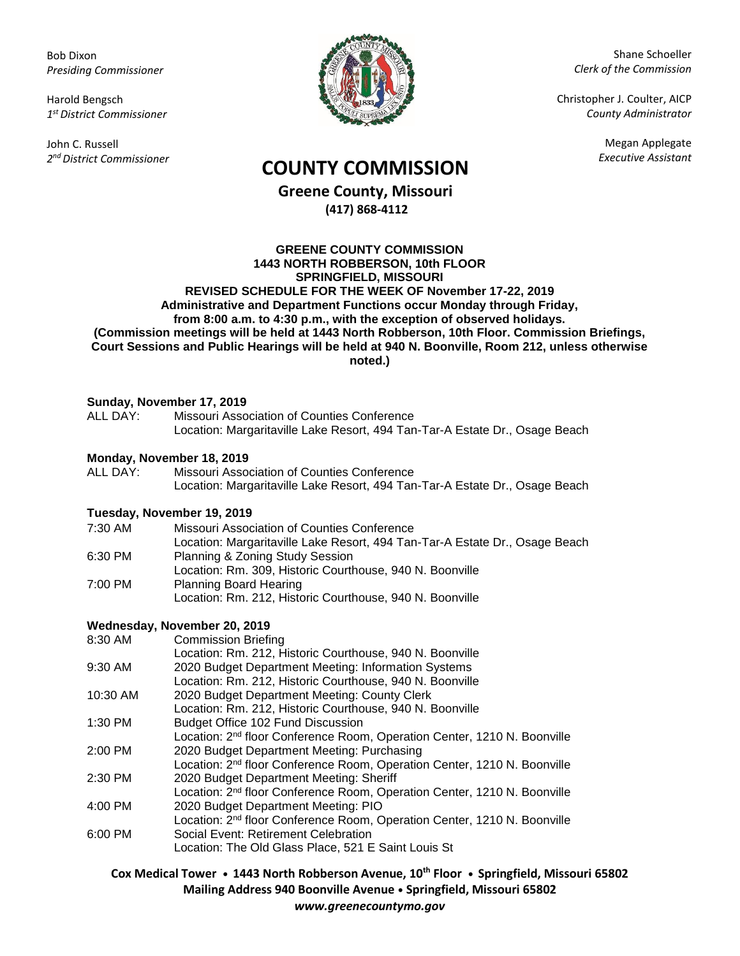Bob Dixon *Presiding Commissioner*

Harold Bengsch *1 st District Commissioner*

John C. Russell *2 nd District Commissioner*



Shane Schoeller *Clerk of the Commission*

Christopher J. Coulter, AICP *County Administrator*

Megan Applegate

# *Executive Assistant* **COUNTY COMMISSION**

**Greene County, Missouri (417) 868-4112**

#### **GREENE COUNTY COMMISSION 1443 NORTH ROBBERSON, 10th FLOOR SPRINGFIELD, MISSOURI REVISED SCHEDULE FOR THE WEEK OF November 17-22, 2019 Administrative and Department Functions occur Monday through Friday, from 8:00 a.m. to 4:30 p.m., with the exception of observed holidays. (Commission meetings will be held at 1443 North Robberson, 10th Floor. Commission Briefings, Court Sessions and Public Hearings will be held at 940 N. Boonville, Room 212, unless otherwise noted.)**

### **Sunday, November 17, 2019**

| ALL DAY:                   | Missouri Association of Counties Conference<br>Location: Margaritaville Lake Resort, 494 Tan-Tar-A Estate Dr., Osage Beach |
|----------------------------|----------------------------------------------------------------------------------------------------------------------------|
| Monday, November 18, 2019  |                                                                                                                            |
| ALL DAY:                   | Missouri Association of Counties Conference                                                                                |
|                            | Location: Margaritaville Lake Resort, 494 Tan-Tar-A Estate Dr., Osage Beach                                                |
| Tuesday, November 19, 2019 |                                                                                                                            |
| 7:30 AM                    | Missouri Association of Counties Conference                                                                                |
|                            | Location: Margaritaville Lake Resort, 494 Tan-Tar-A Estate Dr., Osage Beach                                                |
| 6:30 PM                    | Planning & Zoning Study Session                                                                                            |
|                            | Location: Rm. 309, Historic Courthouse, 940 N. Boonville                                                                   |
| 7:00 PM                    | <b>Planning Board Hearing</b>                                                                                              |

Location: Rm. 212, Historic Courthouse, 940 N. Boonville

## **Wednesday, November 20, 2019**

Commission Briefing Location: Rm. 212, Historic Courthouse, 940 N. Boonville 9:30 AM 2020 Budget Department Meeting: Information Systems Location: Rm. 212, Historic Courthouse, 940 N. Boonville 10:30 AM 2020 Budget Department Meeting: County Clerk Location: Rm. 212, Historic Courthouse, 940 N. Boonville 1:30 PM Budget Office 102 Fund Discussion Location: 2<sup>nd</sup> floor Conference Room, Operation Center, 1210 N. Boonville 2:00 PM 2020 Budget Department Meeting: Purchasing Location: 2<sup>nd</sup> floor Conference Room, Operation Center, 1210 N. Boonville 2:30 PM 2020 Budget Department Meeting: Sheriff Location: 2nd floor Conference Room, Operation Center, 1210 N. Boonville 4:00 PM 2020 Budget Department Meeting: PIO Location: 2nd floor Conference Room, Operation Center, 1210 N. Boonville 6:00 PM Social Event: Retirement Celebration Location: The Old Glass Place, 521 E Saint Louis St

**Cox Medical Tower • 1443 North Robberson Avenue, 10th Floor • Springfield, Missouri 65802 Mailing Address 940 Boonville Avenue • Springfield, Missouri 65802** *www.greenecountymo.gov*